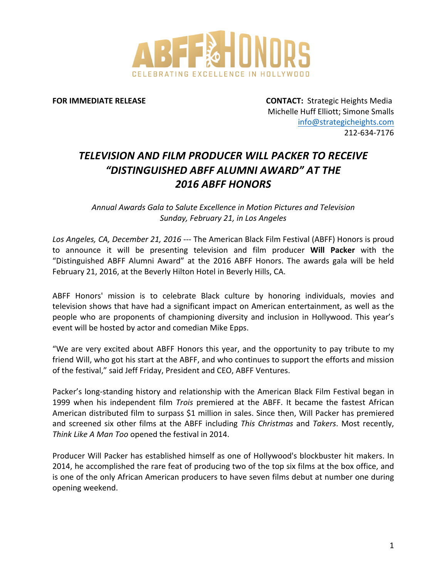

**FOR\$IMMEDIATE\$RELEASE** !!!!!!!!!!!!!!!**CONTACT:**!!Strategic!Heights!Media Michelle Huff Elliott; Simone Smalls info@strategicheights.com 212-634-7176

## *TELEVISION)AND)FILM)PRODUCER)WILL)PACKER)TO)RECEIVE) "DISTINGUISHED)ABFF)ALUMNI)AWARD")AT)THE) 2016)ABFF)HONORS*

*Annual!Awards!Gala!to!Salute!Excellence!in!Motion!Pictures!and!Television! Sunday, February 21, in Los Angeles* 

Los Angeles, CA, December 21, 2016 --- The American Black Film Festival (ABFF) Honors is proud to announce it will be presenting television and film producer Will Packer with the "Distinguished ABFF Alumni Award" at the 2016 ABFF Honors. The awards gala will be held February 21, 2016, at the Beverly Hilton Hotel in Beverly Hills, CA.

ABFF Honors' mission is to celebrate Black culture by honoring individuals, movies and television shows that have had a significant impact on American entertainment, as well as the people who are proponents of championing diversity and inclusion in Hollywood. This year's event will be hosted by actor and comedian Mike Epps.

"We are very excited about ABFF Honors this year, and the opportunity to pay tribute to my friend Will, who got his start at the ABFF, and who continues to support the efforts and mission of the festival," said Jeff Friday, President and CEO, ABFF Ventures.

Packer's long-standing history and relationship with the American Black Film Festival began in 1999 when his independent film *Trois* premiered at the ABFF. It became the fastest African American distributed film to surpass \$1 million in sales. Since then, Will Packer has premiered and screened six other films at the ABFF including *This Christmas* and *Takers*. Most recently, *Think Like A Man Too opened the festival in 2014.* 

Producer Will Packer has established himself as one of Hollywood's blockbuster hit makers. In 2014, he accomplished the rare feat of producing two of the top six films at the box office, and is one of the only African American producers to have seven films debut at number one during opening weekend.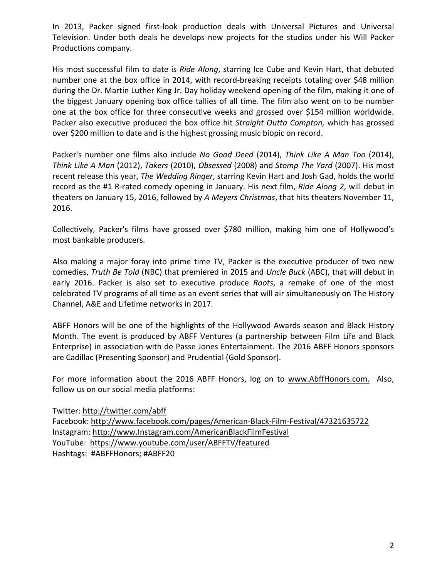In 2013, Packer signed first-look production deals with Universal Pictures and Universal Television. Under both deals he develops new projects for the studios under his Will Packer Productions company.

His most successful film to date is *Ride Along*, starring Ice Cube and Kevin Hart, that debuted number one at the box office in 2014, with record-breaking receipts totaling over \$48 million during the Dr. Martin Luther King Jr. Day holiday weekend opening of the film, making it one of the biggest January opening box office tallies of all time. The film also went on to be number one at the box office for three consecutive weeks and grossed over \$154 million worldwide. Packer also executive produced the box office hit *Straight Outta Compton*, which has grossed over \$200 million to date and is the highest grossing music biopic on record.

Packer's number one films also include *No Good Deed* (2014), *Think Like A Man Too* (2014), *Think Like A Man* (2012), *Takers* (2010), *Obsessed* (2008) and *Stomp The Yard* (2007). His most recent release this year, *The Wedding Ringer*, starring Kevin Hart and Josh Gad, holds the world record as the #1 R-rated comedy opening in January. His next film, *Ride Along 2*, will debut in theaters on January 15, 2016, followed by *A Meyers Christmas*, that hits theaters November 11, 2016.

Collectively, Packer's films have grossed over \$780 million, making him one of Hollywood's most bankable producers.

Also making a major foray into prime time TV, Packer is the executive producer of two new comedies, *Truth Be Told* (NBC) that premiered in 2015 and *Uncle Buck* (ABC), that will debut in early 2016. Packer is also set to executive produce *Roots*, a remake of one of the most celebrated TV programs of all time as an event series that will air simultaneously on The History Channel, A&E and Lifetime networks in 2017.

ABFF Honors will be one of the highlights of the Hollywood Awards season and Black History Month. The event is produced by ABFF Ventures (a partnership between Film Life and Black Enterprise) in association with de Passe Jones Entertainment. The 2016 ABFF Honors sponsors are Cadillac (Presenting Sponsor) and Prudential (Gold Sponsor).

For more information about the 2016 ABFF Honors, log on to www.AbffHonors.com. Also, follow us on our social media platforms:

Twitter: http://twitter.com/abff Facebook: http://www.facebook.com/pages/American-Black-Film-Festival/47321635722 Instagram: http://www.Instagram.com/AmericanBlackFilmFestival YouTube: https://www.youtube.com/user/ABFFTV/featured Hashtags: #ABFFHonors; #ABFF20